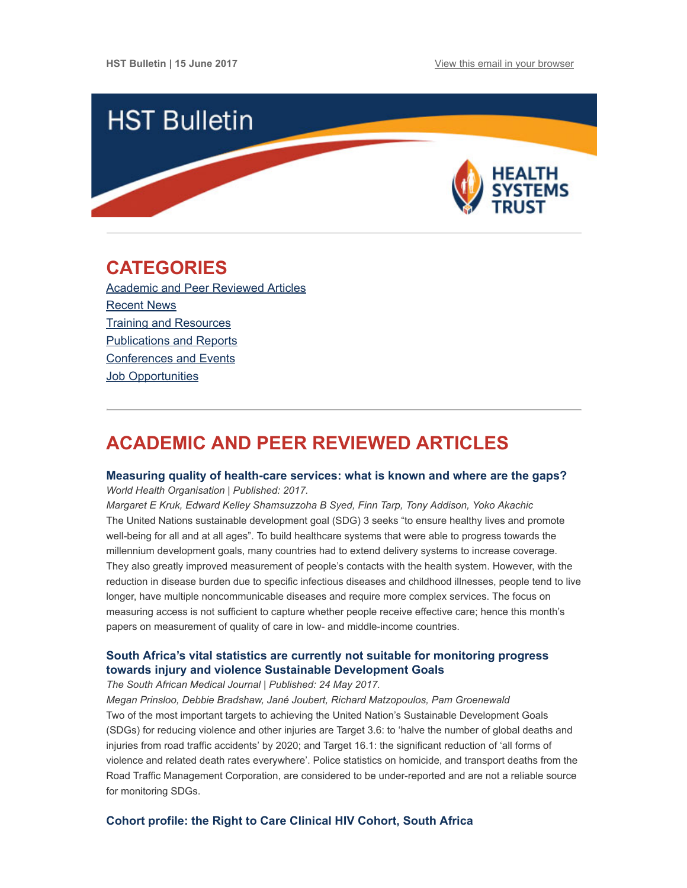

# <span id="page-0-1"></span>CATEGORIES

Academic and Peer [Reviewed](#page-0-0) Articles [Recent](#page-1-0) News Training and [Resources](#page-2-0) [Publications](#page-2-1) and Reports [Conferences](#page-2-2) and Events **Job [Opportunities](#page-3-0)** 

# <span id="page-0-0"></span>ACADEMIC AND PEER REVIEWED ARTICLES

## Measuring quality of [health-care](http://www.who.int/bulletin/volumes/95/6/17-195099.pdf) services: what is known and where are the gaps? World Health Organisation | Published: 2017.

Margaret E Kruk, Edward Kelley Shamsuzzoha B Syed, Finn Tarp, Tony Addison, Yoko Akachic The United Nations sustainable development goal (SDG) 3 seeks "to ensure healthy lives and promote well-being for all and at all ages". To build healthcare systems that were able to progress towards the millennium development goals, many countries had to extend delivery systems to increase coverage. They also greatly improved measurement of people's contacts with the health system. However, with the reduction in disease burden due to specific infectious diseases and childhood illnesses, people tend to live longer, have multiple noncommunicable diseases and require more complex services. The focus on measuring access is not sufficient to capture whether people receive effective care; hence this month's papers on measurement of quality of care in low- and middle-income countries.

# South Africa's vital statistics are currently not suitable for monitoring progress towards injury and violence Sustainable [Development](http://www.samj.org.za/index.php/samj/article/view/11922/8084) Goals

## The South African Medical Journal | Published: 24 May 2017.

Megan Prinsloo, Debbie Bradshaw, Jané Joubert, Richard Matzopoulos, Pam Groenewald Two of the most important targets to achieving the United Nation's Sustainable Development Goals (SDGs) for reducing violence and other injuries are Target 3.6: to 'halve the number of global deaths and injuries from road traffic accidents' by 2020; and Target 16.1: the significant reduction of 'all forms of violence and related death rates everywhere'. Police statistics on homicide, and transport deaths from the Road Traffic Management Corporation, are considered to be under-reported and are not a reliable source for monitoring SDGs.

# Cohort profile: the Right to Care [Clinical](http://bmjopen.bmj.com/content/7/6/e015620) HIV Cohort, South Africa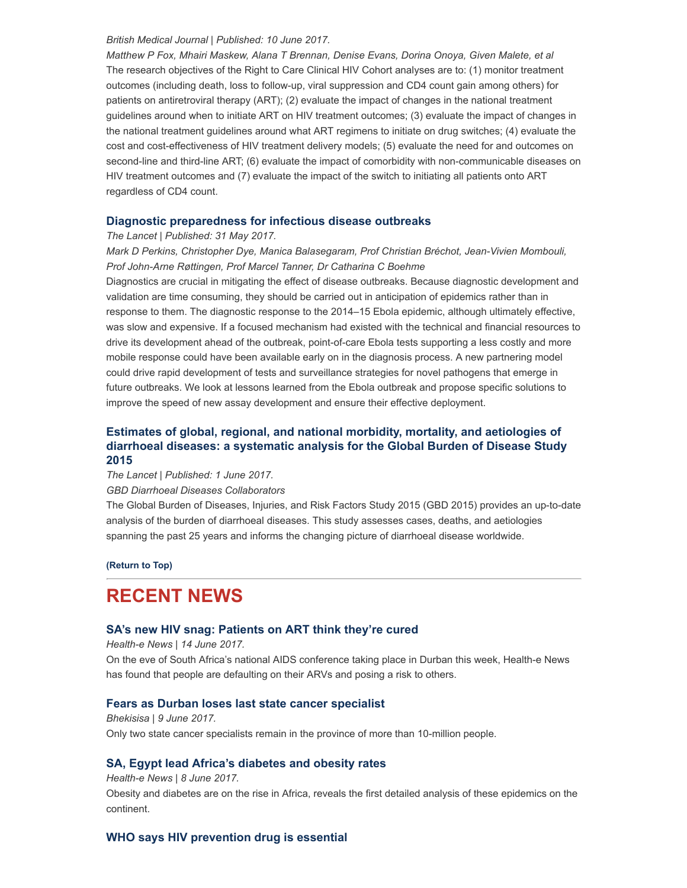#### British Medical Journal | Published: 10 June 2017.

Matthew P Fox, Mhairi Maskew, Alana T Brennan, Denise Evans, Dorina Onoya, Given Malete, et al The research objectives of the Right to Care Clinical HIV Cohort analyses are to: (1) monitor treatment outcomes (including death, loss to follow-up, viral suppression and CD4 count gain among others) for patients on antiretroviral therapy (ART); (2) evaluate the impact of changes in the national treatment guidelines around when to initiate ART on HIV treatment outcomes; (3) evaluate the impact of changes in the national treatment guidelines around what ART regimens to initiate on drug switches; (4) evaluate the cost and cost-effectiveness of HIV treatment delivery models; (5) evaluate the need for and outcomes on second-line and third-line ART; (6) evaluate the impact of comorbidity with non-communicable diseases on HIV treatment outcomes and (7) evaluate the impact of the switch to initiating all patients onto ART regardless of CD4 count.

## Diagnostic [preparedness](http://www.thelancet.com/journals/lancet/article/PIIS0140-6736(17)31224-2/fulltext) for infectious disease outbreaks

The Lancet | Published: 31 May 2017.

Mark D Perkins, Christopher Dye, Manica Balasegaram, Prof Christian Bréchot, Jean-Vivien Mombouli, Prof John-Arne Røttingen, Prof Marcel Tanner, Dr Catharina C Boehme

Diagnostics are crucial in mitigating the effect of disease outbreaks. Because diagnostic development and validation are time consuming, they should be carried out in anticipation of epidemics rather than in response to them. The diagnostic response to the 2014–15 Ebola epidemic, although ultimately effective, was slow and expensive. If a focused mechanism had existed with the technical and financial resources to drive its development ahead of the outbreak, point-of-care Ebola tests supporting a less costly and more mobile response could have been available early on in the diagnosis process. A new partnering model could drive rapid development of tests and surveillance strategies for novel pathogens that emerge in future outbreaks. We look at lessons learned from the Ebola outbreak and propose specific solutions to improve the speed of new assay development and ensure their effective deployment.

# Estimates of global, regional, and national morbidity, mortality, and [aetiologies](http://www.thelancet.com/journals/laninf/article/PIIS1473-3099(17)30276-1/fulltext) of diarrhoeal diseases: a systematic analysis for the Global Burden of Disease Study 2015

The Lancet | Published: 1 June 2017.

GBD Diarrhoeal Diseases Collaborators

The Global Burden of Diseases, Injuries, and Risk Factors Study 2015 (GBD 2015) provides an up-to-date analysis of the burden of diarrhoeal diseases. This study assesses cases, deaths, and aetiologies spanning the past 25 years and informs the changing picture of diarrhoeal disease worldwide.

[\(Return](#page-0-1) to Top)

# <span id="page-1-0"></span>RECENT NEWS

# SA's new HIV snag: [Patients](https://www.health-e.org.za/2017/06/14/sas-new-hiv-challenge-patients-art-believe-theyre-cured/) on ART think they're cured

Health-e News | 14 June 2017.

On the eve of South Africa's national AIDS conference taking place in Durban this week, Health-e News has found that people are defaulting on their ARVs and posing a risk to others.

# Fears as Durban loses last state cancer [specialist](http://bhekisisa.org/article/2017-06-09-00-durban-cancer-services-shut-down-as-last-public-sector-oncologist-leaves)

Bhekisisa | 9 June 2017. Only two state cancer specialists remain in the province of more than 10-million people.

# SA, Egypt lead Africa's [diabetes](https://www.health-e.org.za/2017/06/08/south-africa-egypt-lead-continents-soaring-diabetes-obesity-rates/) and obesity rates

Health-e News | 8 June 2017.

Obesity and diabetes are on the rise in Africa, reveals the first detailed analysis of these epidemics on the continent.

# WHO says HIV [prevention](http://www.groundup.org.za/article/who-says-hiv-prevention-drug-essential/) drug is essential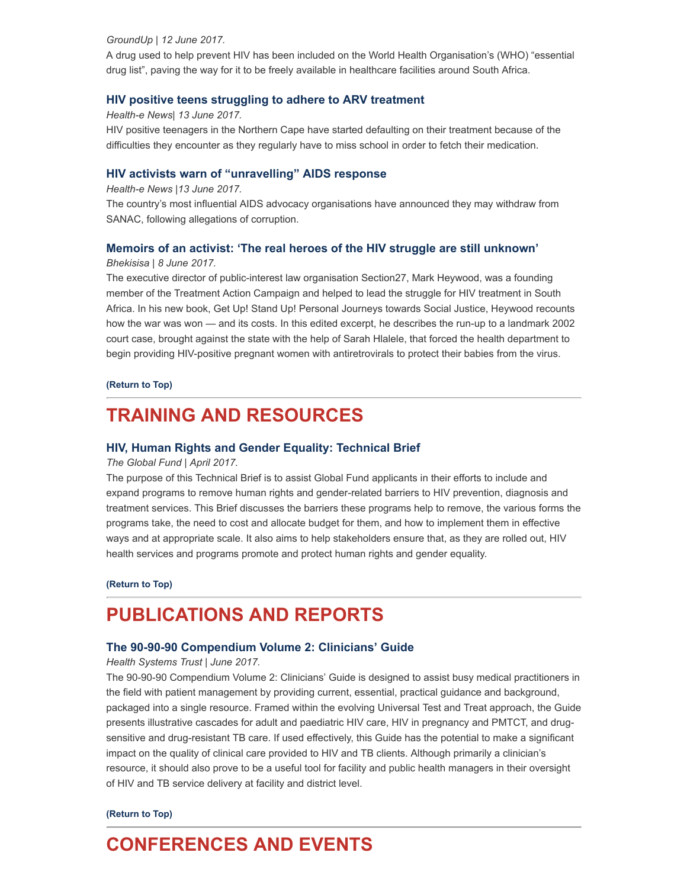### GroundUp | 12 June 2017.

A drug used to help prevent HIV has been included on the World Health Organisation's (WHO) "essential drug list", paving the way for it to be freely available in healthcare facilities around South Africa.

## HIV positive teens [struggling](https://www.health-e.org.za/2017/06/13/hiv-positive-teens-struggling-adhere-arv-treatment/) to adhere to ARV treatment

#### Health-e News| 13 June 2017.

HIV positive teenagers in the Northern Cape have started defaulting on their treatment because of the difficulties they encounter as they regularly have to miss school in order to fetch their medication.

### HIV activists warn of ["unravelling"](https://www.health-e.org.za/2017/06/13/hiv-activists-warn-unravelling-aids-response/) AIDS response

#### Health-e News |13 June 2017.

The country's most influential AIDS advocacy organisations have announced they may withdraw from SANAC, following allegations of corruption.

### Memoirs of an activist: 'The real heroes of the HIV struggle are still [unknown'](http://bhekisisa.org/article/2017-06-08-00-memoirs-of-an-activist-the-real-heroes-of-the-hiv-struggle-are-still-unknown)

### Bhekisisa | 8 June 2017.

The executive director of public-interest law organisation Section27, Mark Heywood, was a founding member of the Treatment Action Campaign and helped to lead the struggle for HIV treatment in South Africa. In his new book, Get Up! Stand Up! Personal Journeys towards Social Justice, Heywood recounts how the war was won — and its costs. In this edited excerpt, he describes the run-up to a landmark 2002 court case, brought against the state with the help of Sarah Hlalele, that forced the health department to begin providing HIV-positive pregnant women with antiretrovirals to protect their babies from the virus.

#### [\(Return](#page-0-1) to Top)

# <span id="page-2-0"></span>TRAINING AND RESOURCES

## HIV, Human Rights and Gender Equality: [Technical](https://www.theglobalfund.org/media/6348/core_hivhumanrightsgenderequality_technicalbrief_en.pdf) Brief

### The Global Fund | April 2017.

The purpose of this Technical Brief is to assist Global Fund applicants in their efforts to include and expand programs to remove human rights and gender-related barriers to HIV prevention, diagnosis and treatment services. This Brief discusses the barriers these programs help to remove, the various forms the programs take, the need to cost and allocate budget for them, and how to implement them in effective ways and at appropriate scale. It also aims to help stakeholders ensure that, as they are rolled out, HIV health services and programs promote and protect human rights and gender equality.

#### [\(Return](#page-0-1) to Top)

# <span id="page-2-1"></span>PUBLICATIONS AND REPORTS

#### The 90-90-90 [Compendium](http://www.hst.org.za/publications/90-90-90-compendium-volume-2-clinicians-guide) Volume 2: Clinicians' Guide

#### Health Systems Trust | June 2017.

The 90-90-90 Compendium Volume 2: Clinicians' Guide is designed to assist busy medical practitioners in the field with patient management by providing current, essential, practical guidance and background, packaged into a single resource. Framed within the evolving Universal Test and Treat approach, the Guide presents illustrative cascades for adult and paediatric HIV care, HIV in pregnancy and PMTCT, and drugsensitive and drug-resistant TB care. If used effectively, this Guide has the potential to make a significant impact on the quality of clinical care provided to HIV and TB clients. Although primarily a clinician's resource, it should also prove to be a useful tool for facility and public health managers in their oversight of HIV and TB service delivery at facility and district level.

### [\(Return](#page-0-1) to Top)

# <span id="page-2-2"></span>CONFERENCES AND EVENTS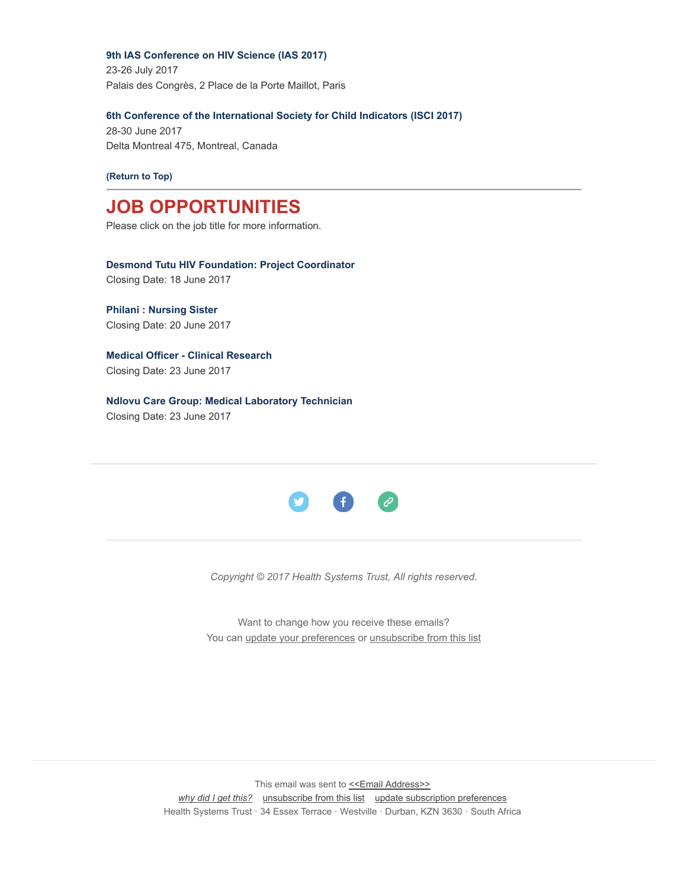9th IAS [Conference](http://www.hst.org.za/events/9th-ias-conference-hiv-science-ias-2017) on HIV Science (IAS 2017)

23-26 July 2017 Palais des Congrès, 2 Place de la Porte Maillot, Paris

## 6th Conference of the [International](http://www.hst.org.za/events/6th-conference-international-society-child-indicators-isci-2017) Society for Child Indicators (ISCI 2017)

28-30 June 2017 Delta Montreal 475, Montreal, Canada

[\(Return](#page-0-1) to Top)

# <span id="page-3-0"></span>JOB OPPORTUNITIES

Please click on the job title for more information.

Desmond Tutu HIV [Foundation:](http://www.medicalbrief.co.za/archives/careers/project-coordinator/) Project Coordinator Closing Date: 18 June 2017

Philani : [Nursing](http://www.ngopulse.org/opportunity/2017/06/07/nursing-sister) Sister Closing Date: 20 June 2017

Medical Officer - Clinical [Research](http://www.ngopulse.org/opportunity/2017/06/08/medical-officer-clinical-research) Closing Date: 23 June 2017

Ndlovu Care Group: Medical [Laboratory](http://www.ngopulse.org/opportunity/2017/06/08/medical-laboratory-technician) Technician Closing Date: 23 June 2017



Copyright © 2017 Health Systems Trust, All rights reserved.

Want to change how you receive these emails? You can update your [preferences](http://hst.us14.list-manage2.com/profile?u=72d7614ab973e486252cafb97&id=ac4ca52ce0&e=[UNIQID]) or [unsubscribe](http://hst.us14.list-manage.com/unsubscribe?u=72d7614ab973e486252cafb97&id=ac4ca52ce0&e=[UNIQID]&c=5306d1d078) from this list

This email was sent to <<Email [Address>>](mailto:%3C%3CEmail%20Address%3E%3E) why did I get [this?](http://hst.us14.list-manage2.com/about?u=72d7614ab973e486252cafb97&id=ac4ca52ce0&e=[UNIQID]&c=5306d1d078) [unsubscribe](http://hst.us14.list-manage.com/unsubscribe?u=72d7614ab973e486252cafb97&id=ac4ca52ce0&e=[UNIQID]&c=5306d1d078) from this list update [subscription](http://hst.us14.list-manage2.com/profile?u=72d7614ab973e486252cafb97&id=ac4ca52ce0&e=[UNIQID]) preferences Health Systems Trust · 34 Essex Terrace · Westville · Durban, KZN 3630 · South Africa